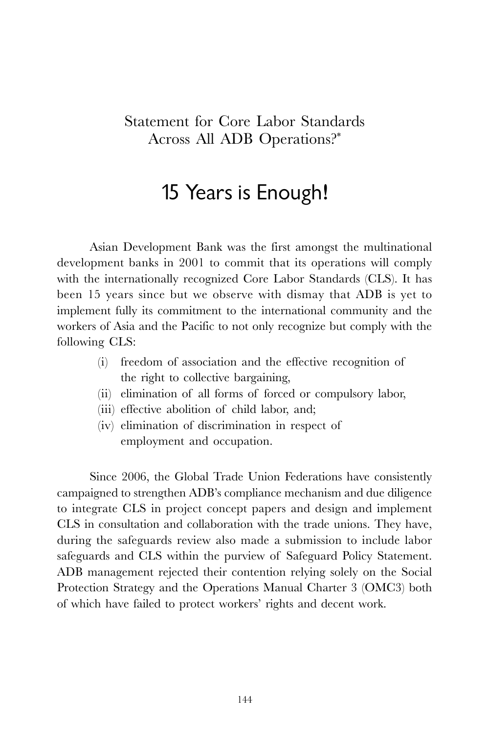## Statement for Core Labor Standards Across All ADB Operations?\*

## 15 Years is Enough!

Asian Development Bank was the first amongst the multinational development banks in 2001 to commit that its operations will comply with the internationally recognized Core Labor Standards (CLS). It has been 15 years since but we observe with dismay that ADB is yet to implement fully its commitment to the international community and the workers of Asia and the Pacific to not only recognize but comply with the following CLS:

- (i) freedom of association and the effective recognition of the right to collective bargaining,
- (ii) elimination of all forms of forced or compulsory labor,
- (iii) effective abolition of child labor, and;
- (iv) elimination of discrimination in respect of employment and occupation.

Since 2006, the Global Trade Union Federations have consistently campaigned to strengthen ADB's compliance mechanism and due diligence to integrate CLS in project concept papers and design and implement CLS in consultation and collaboration with the trade unions. They have, during the safeguards review also made a submission to include labor safeguards and CLS within the purview of Safeguard Policy Statement. ADB management rejected their contention relying solely on the Social Protection Strategy and the Operations Manual Charter 3 (OMC3) both of which have failed to protect workers' rights and decent work.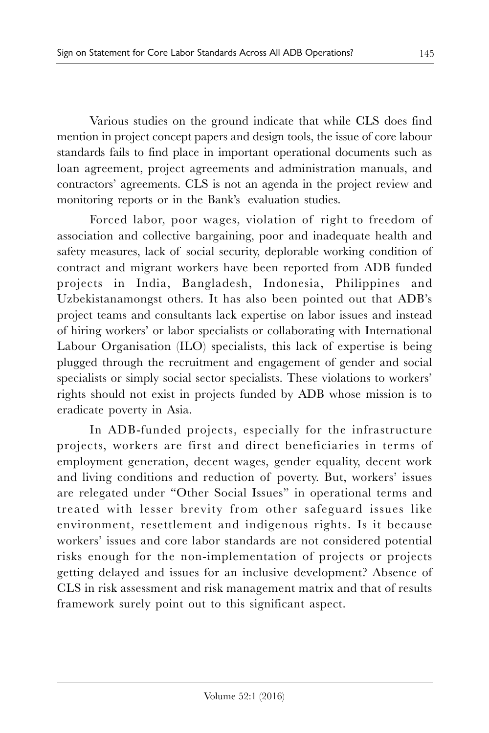Various studies on the ground indicate that while CLS does find mention in project concept papers and design tools, the issue of core labour standards fails to find place in important operational documents such as loan agreement, project agreements and administration manuals, and contractors' agreements. CLS is not an agenda in the project review and monitoring reports or in the Bank's evaluation studies.

Forced labor, poor wages, violation of right to freedom of association and collective bargaining, poor and inadequate health and safety measures, lack of social security, deplorable working condition of contract and migrant workers have been reported from ADB funded projects in India, Bangladesh, Indonesia, Philippines and Uzbekistanamongst others. It has also been pointed out that ADB's project teams and consultants lack expertise on labor issues and instead of hiring workers' or labor specialists or collaborating with International Labour Organisation (ILO) specialists, this lack of expertise is being plugged through the recruitment and engagement of gender and social specialists or simply social sector specialists. These violations to workers' rights should not exist in projects funded by ADB whose mission is to eradicate poverty in Asia.

In ADB-funded projects, especially for the infrastructure projects, workers are first and direct beneficiaries in terms of employment generation, decent wages, gender equality, decent work and living conditions and reduction of poverty. But, workers' issues are relegated under "Other Social Issues" in operational terms and treated with lesser brevity from other safeguard issues like environment, resettlement and indigenous rights. Is it because workers' issues and core labor standards are not considered potential risks enough for the non-implementation of projects or projects getting delayed and issues for an inclusive development? Absence of CLS in risk assessment and risk management matrix and that of results framework surely point out to this significant aspect.